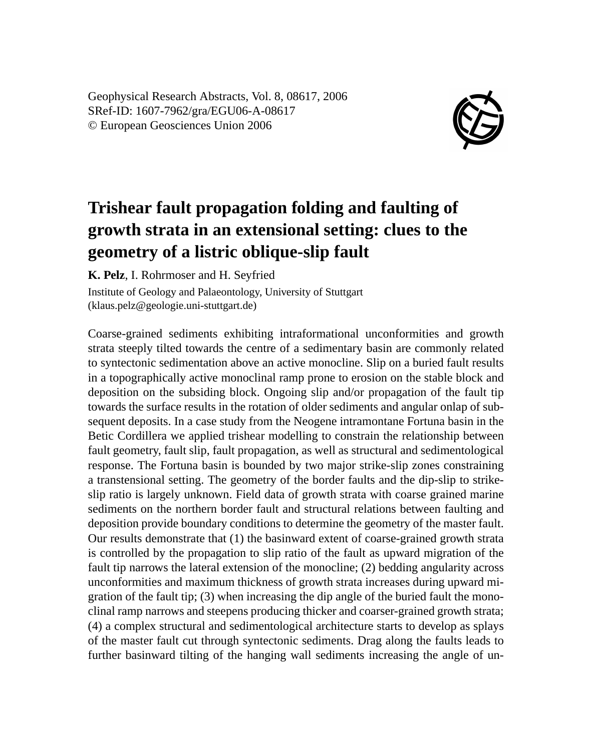Geophysical Research Abstracts, Vol. 8, 08617, 2006 SRef-ID: 1607-7962/gra/EGU06-A-08617 © European Geosciences Union 2006



## **Trishear fault propagation folding and faulting of growth strata in an extensional setting: clues to the geometry of a listric oblique-slip fault**

**K. Pelz**, I. Rohrmoser and H. Seyfried

Institute of Geology and Palaeontology, University of Stuttgart (klaus.pelz@geologie.uni-stuttgart.de)

Coarse-grained sediments exhibiting intraformational unconformities and growth strata steeply tilted towards the centre of a sedimentary basin are commonly related to syntectonic sedimentation above an active monocline. Slip on a buried fault results in a topographically active monoclinal ramp prone to erosion on the stable block and deposition on the subsiding block. Ongoing slip and/or propagation of the fault tip towards the surface results in the rotation of older sediments and angular onlap of subsequent deposits. In a case study from the Neogene intramontane Fortuna basin in the Betic Cordillera we applied trishear modelling to constrain the relationship between fault geometry, fault slip, fault propagation, as well as structural and sedimentological response. The Fortuna basin is bounded by two major strike-slip zones constraining a transtensional setting. The geometry of the border faults and the dip-slip to strikeslip ratio is largely unknown. Field data of growth strata with coarse grained marine sediments on the northern border fault and structural relations between faulting and deposition provide boundary conditions to determine the geometry of the master fault. Our results demonstrate that (1) the basinward extent of coarse-grained growth strata is controlled by the propagation to slip ratio of the fault as upward migration of the fault tip narrows the lateral extension of the monocline; (2) bedding angularity across unconformities and maximum thickness of growth strata increases during upward migration of the fault tip; (3) when increasing the dip angle of the buried fault the monoclinal ramp narrows and steepens producing thicker and coarser-grained growth strata; (4) a complex structural and sedimentological architecture starts to develop as splays of the master fault cut through syntectonic sediments. Drag along the faults leads to further basinward tilting of the hanging wall sediments increasing the angle of un-